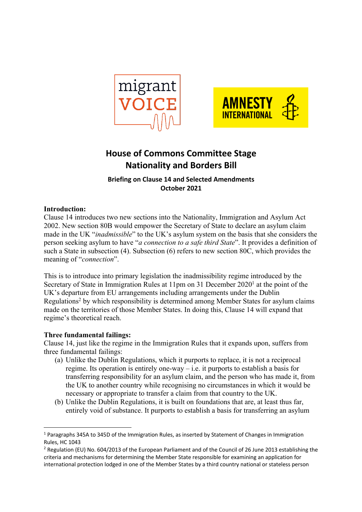



# **House of Commons Committee Stage Nationality and Borders Bill**

**Briefing on Clause 14 and Selected Amendments October 2021**

# **Introduction:**

Clause 14 introduces two new sections into the Nationality, Immigration and Asylum Act 2002. New section 80B would empower the Secretary of State to declare an asylum claim made in the UK "*inadmissible*" to the UK's asylum system on the basis that she considers the person seeking asylum to have "*a connection to a safe third State*". It provides a definition of such a State in subsection (4). Subsection (6) refers to new section 80C, which provides the meaning of "*connection*".

This is to introduce into primary legislation the inadmissibility regime introduced by the Secretary of State in Immigration Rules at 11pm on 31 December  $2020<sup>1</sup>$  at the point of the UK's departure from EU arrangements including arrangements under the Dublin Regulations<sup>2</sup> by which responsibility is determined among Member States for asylum claims made on the territories of those Member States. In doing this, Clause 14 will expand that regime's theoretical reach.

### **Three fundamental failings:**

Clause 14, just like the regime in the Immigration Rules that it expands upon, suffers from three fundamental failings:

- (a) Unlike the Dublin Regulations, which it purports to replace, it is not a reciprocal regime. Its operation is entirely one-way – i.e. it purports to establish a basis for transferring responsibility for an asylum claim, and the person who has made it, from the UK to another country while recognising no circumstances in which it would be necessary or appropriate to transfer a claim from that country to the UK.
- (b) Unlike the Dublin Regulations, it is built on foundations that are, at least thus far, entirely void of substance. It purports to establish a basis for transferring an asylum

<sup>1</sup> Paragraphs 345A to 345D of the Immigration Rules, as inserted by Statement of Changes in Immigration Rules, HC 1043

<sup>2</sup> Regulation (EU) No. 604/2013 of the European Parliament and of the Council of 26 June 2013 establishing the criteria and mechanisms for determining the Member State responsible for examining an application for international protection lodged in one of the Member States by a third country national or stateless person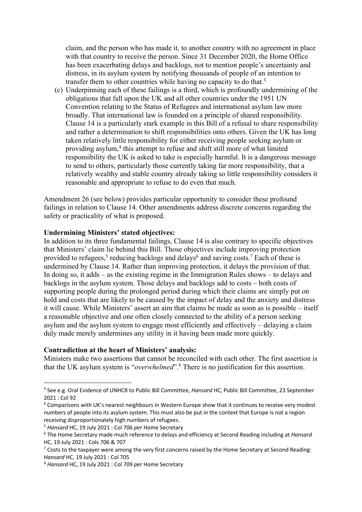claim, and the person who has made it, to another country with no agreement in place with that country to receive the person. Since 31 December 2020, the Home Office has been exacerbating delays and backlogs, not to mention people's uncertainty and distress, in its asylum system by notifying thousands of people of an intention to transfer them to other countries while having no capacity to do that.<sup>3</sup>

(c) Underpinning each of these failings is a third, which is profoundly undermining of the obligations that fall upon the UK and all other countries under the 1951 UN Convention relating to the Status of Refugees and international asylum law more broadly. That international law is founded on a principle of shared responsibility. Clause 14 is a particularly stark example in this Bill of a refusal to share responsibility and rather a determination to shift responsibilities onto others. Given the UK has long taken relatively little responsibility for either receiving people seeking asylum or providing asylum,4 this attempt to refuse and shift still more of what limited responsibility the UK is asked to take is especially harmful. It is a dangerous message to send to others, particularly those currently taking far more responsibility, that a relatively wealthy and stable country already taking so little responsibility considers it reasonable and appropriate to refuse to do even that much.

Amendment 26 (see below) provides particular opportunity to consider these profound failings in relation to Clause 14. Other amendments address discrete concerns regarding the safety or practicality of what is proposed.

### **Undermining Ministers' stated objectives:**

In addition to its three fundamental failings, Clause 14 is also contrary to specific objectives that Ministers' claim lie behind this Bill. Those objectives include improving protection provided to refugees,<sup>5</sup> reducing backlogs and delays<sup>6</sup> and saving costs.<sup>7</sup> Each of these is undermined by Clause 14. Rather than improving protection, it delays the provision of that. In doing so, it adds – as the existing regime in the Immigration Rules shows – to delays and backlogs in the asylum system. Those delays and backlogs add to costs – both costs of supporting people during the prolonged period during which their claims are simply put on hold and costs that are likely to be caused by the impact of delay and the anxiety and distress it will cause. While Ministers' assert an aim that claims be made as soon as is possible – itself a reasonable objective and one often closely connected to the ability of a person seeking asylum and the asylum system to engage most efficiently and effectively – delaying a claim duly made merely undermines any utility in it having been made more quickly.

#### **Contradiction at the heart of Ministers' analysis:**

Ministers make two assertions that cannot be reconciled with each other. The first assertion is that the UK asylum system is "*overwhelmed*".8 There is no justification for this assertion.

<sup>3</sup> See e.g. Oral Evidence of UNHCR to Public Bill Committee, *Hansard* HC, Public Bill Committee, 23 September 2021 : Col 92

<sup>4</sup> Comparisons with UK's nearest neighbours in Western Europe show that it continues to receive very modest numbers of people into its asylum system. This must also be put in the context that Europe is not a region receiving disproportionately high numbers of refugees.

<sup>5</sup> *Hansard* HC, 19 July 2021 : Col 706 *per* Home Secretary

<sup>6</sup> The Home Secretary made much reference to delays and efficiency at Second Reading including at *Hansard*  HC, 19 July 2021 : Cols 706 & 707

 $7$  Costs to the taxpayer were among the very first concerns raised by the Home Secretary at Second Reading: *Hansard* HC, 19 July 2021 : Col 705

<sup>8</sup> *Hansard* HC, 19 July 2021 : Col 709 *per* Home Secretary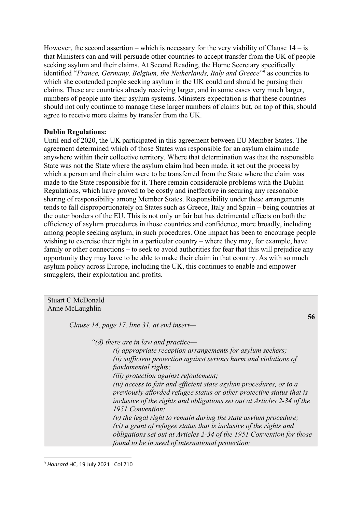However, the second assertion – which is necessary for the very viability of Clause  $14 - i$ s that Ministers can and will persuade other countries to accept transfer from the UK of people seeking asylum and their claims. At Second Reading, the Home Secretary specifically identified "*France, Germany, Belgium, the Netherlands, Italy and Greece*"9 as countries to which she contended people seeking asylum in the UK could and should be pursing their claims. These are countries already receiving larger, and in some cases very much larger, numbers of people into their asylum systems. Ministers expectation is that these countries should not only continue to manage these larger numbers of claims but, on top of this, should agree to receive more claims by transfer from the UK.

### **Dublin Regulations:**

Until end of 2020, the UK participated in this agreement between EU Member States. The agreement determined which of those States was responsible for an asylum claim made anywhere within their collective territory. Where that determination was that the responsible State was not the State where the asylum claim had been made, it set out the process by which a person and their claim were to be transferred from the State where the claim was made to the State responsible for it. There remain considerable problems with the Dublin Regulations, which have proved to be costly and ineffective in securing any reasonable sharing of responsibility among Member States. Responsibility under these arrangements tends to fall disproportionately on States such as Greece, Italy and Spain – being countries at the outer borders of the EU. This is not only unfair but has detrimental effects on both the efficiency of asylum procedures in those countries and confidence, more broadly, including among people seeking asylum, in such procedures. One impact has been to encourage people wishing to exercise their right in a particular country – where they may, for example, have family or other connections – to seek to avoid authorities for fear that this will prejudice any opportunity they may have to be able to make their claim in that country. As with so much asylum policy across Europe, including the UK, this continues to enable and empower smugglers, their exploitation and profits.

Stuart C McDonald Anne McLaughlin

*Clause 14, page 17, line 31, at end insert—*

*"(d) there are in law and practice—*

*(i) appropriate reception arrangements for asylum seekers; (ii) sufficient protection against serious harm and violations of fundamental rights; (iii) protection against refoulement;* 

**56**

*(iv) access to fair and efficient state asylum procedures, or to a previously afforded refugee status or other protective status that is inclusive of the rights and obligations set out at Articles 2-34 of the 1951 Convention;* 

*(v) the legal right to remain during the state asylum procedure; (vi) a grant of refugee status that is inclusive of the rights and obligations set out at Articles 2-34 of the 1951 Convention for those found to be in need of international protection;*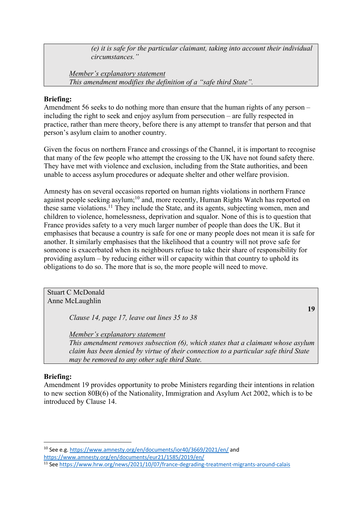*(e) it is safe for the particular claimant, taking into account their individual circumstances."* 

*Member's explanatory statement This amendment modifies the definition of a "safe third State".* 

# **Briefing:**

Amendment 56 seeks to do nothing more than ensure that the human rights of any person – including the right to seek and enjoy asylum from persecution – are fully respected in practice, rather than mere theory, before there is any attempt to transfer that person and that person's asylum claim to another country.

Given the focus on northern France and crossings of the Channel, it is important to recognise that many of the few people who attempt the crossing to the UK have not found safety there. They have met with violence and exclusion, including from the State authorities, and been unable to access asylum procedures or adequate shelter and other welfare provision.

Amnesty has on several occasions reported on human rights violations in northern France against people seeking asylum;<sup>10</sup> and, more recently, Human Rights Watch has reported on these same violations.11 They include the State, and its agents, subjecting women, men and children to violence, homelessness, deprivation and squalor. None of this is to question that France provides safety to a very much larger number of people than does the UK. But it emphasises that because a country is safe for one or many people does not mean it is safe for another. It similarly emphasises that the likelihood that a country will not prove safe for someone is exacerbated when its neighbours refuse to take their share of responsibility for providing asylum – by reducing either will or capacity within that country to uphold its obligations to do so. The more that is so, the more people will need to move.

Stuart C McDonald Anne McLaughlin

*Clause 14, page 17, leave out lines 35 to 38* 

**19**

*Member's explanatory statement* 

*This amendment removes subsection (6), which states that a claimant whose asylum claim has been denied by virtue of their connection to a particular safe third State may be removed to any other safe third State.* 

# **Briefing:**

Amendment 19 provides opportunity to probe Ministers regarding their intentions in relation to new section 80B(6) of the Nationality, Immigration and Asylum Act 2002, which is to be introduced by Clause 14.

<sup>10</sup> See e.g. https://www.amnesty.org/en/documents/ior40/3669/2021/en/ and

https://www.amnesty.org/en/documents/eur21/1585/2019/en/

<sup>11</sup> See https://www.hrw.org/news/2021/10/07/france-degrading-treatment-migrants-around-calais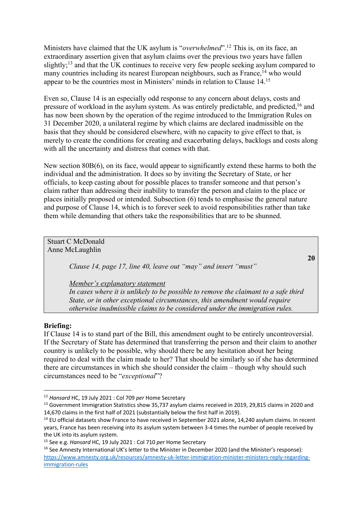Ministers have claimed that the UK asylum is "*overwhelmed*".12 This is, on its face, an extraordinary assertion given that asylum claims over the previous two years have fallen slightly;<sup>13</sup> and that the UK continues to receive very few people seeking asylum compared to many countries including its nearest European neighbours, such as France,<sup>14</sup> who would appear to be the countries most in Ministers' minds in relation to Clause 14.15

Even so, Clause 14 is an especially odd response to any concern about delays, costs and pressure of workload in the asylum system. As was entirely predictable, and predicted,<sup>16</sup> and has now been shown by the operation of the regime introduced to the Immigration Rules on 31 December 2020, a unilateral regime by which claims are declared inadmissible on the basis that they should be considered elsewhere, with no capacity to give effect to that, is merely to create the conditions for creating and exacerbating delays, backlogs and costs along with all the uncertainty and distress that comes with that.

New section 80B(6), on its face, would appear to significantly extend these harms to both the individual and the administration. It does so by inviting the Secretary of State, or her officials, to keep casting about for possible places to transfer someone and that person's claim rather than addressing their inability to transfer the person and claim to the place or places initially proposed or intended. Subsection (6) tends to emphasise the general nature and purpose of Clause 14, which is to forever seek to avoid responsibilities rather than take them while demanding that others take the responsibilities that are to be shunned.

Stuart C McDonald Anne McLaughlin **20** *Clause 14, page 17, line 40, leave out "may" and insert "must"* 

*Member's explanatory statement* 

*In cases where it is unlikely to be possible to remove the claimant to a safe third State, or in other exceptional circumstances, this amendment would require otherwise inadmissible claims to be considered under the immigration rules.* 

### **Briefing:**

If Clause 14 is to stand part of the Bill, this amendment ought to be entirely uncontroversial. If the Secretary of State has determined that transferring the person and their claim to another country is unlikely to be possible, why should there be any hesitation about her being required to deal with the claim made to her? That should be similarly so if she has determined there are circumstances in which she should consider the claim – though why should such circumstances need to be "*exceptional*"?

<sup>12</sup> *Hansard* HC, 19 July 2021 : Col 709 *per* Home Secretary

<sup>&</sup>lt;sup>13</sup> Government Immigration Statistics show 35,737 asylum claims received in 2019, 29,815 claims in 2020 and 14,670 claims in the first half of 2021 (substantially below the first half in 2019).

<sup>&</sup>lt;sup>14</sup> EU official datasets show France to have received in September 2021 alone, 14,240 asylum claims. In recent years, France has been receiving into its asylum system between 3-4 times the number of people received by the UK into its asylum system.

<sup>15</sup> See e.g. *Hansard* HC, 19 July 2021 : Col 710 *per* Home Secretary

<sup>&</sup>lt;sup>16</sup> See Amnesty International UK's letter to the Minister in December 2020 (and the Minister's response): https://www.amnesty.org.uk/resources/amnesty-uk-letter-immigration-minister-ministers-reply-regardingimmigration-rules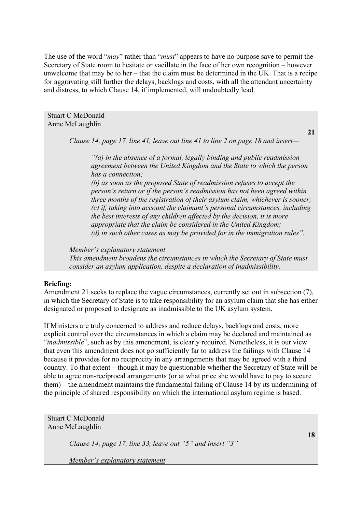The use of the word "*may*" rather than "*must*" appears to have no purpose save to permit the Secretary of State room to hesitate or vacillate in the face of her own recognition – however unwelcome that may be to her – that the claim must be determined in the UK. That is a recipe for aggravating still further the delays, backlogs and costs, with all the attendant uncertainty and distress, to which Clause 14, if implemented, will undoubtedly lead.

Stuart C McDonald Anne McLaughlin

*Clause 14, page 17, line 41, leave out line 41 to line 2 on page 18 and insert—*

*"(a) in the absence of a formal, legally binding and public readmission agreement between the United Kingdom and the State to which the person has a connection;* 

*(b) as soon as the proposed State of readmission refuses to accept the person's return or if the person's readmission has not been agreed within three months of the registration of their asylum claim, whichever is sooner; (c) if, taking into account the claimant's personal circumstances, including the best interests of any children affected by the decision, it is more appropriate that the claim be considered in the United Kingdom; (d) in such other cases as may be provided for in the immigration rules".* 

*Member's explanatory statement* 

*This amendment broadens the circumstances in which the Secretary of State must consider an asylum application, despite a declaration of inadmissibility.* 

# **Briefing:**

Amendment 21 seeks to replace the vague circumstances, currently set out in subsection (7), in which the Secretary of State is to take responsibility for an asylum claim that she has either designated or proposed to designate as inadmissible to the UK asylum system.

If Ministers are truly concerned to address and reduce delays, backlogs and costs, more explicit control over the circumstances in which a claim may be declared and maintained as "*inadmissible*", such as by this amendment, is clearly required. Nonetheless, it is our view that even this amendment does not go sufficiently far to address the failings with Clause 14 because it provides for no reciprocity in any arrangements that may be agreed with a third country. To that extent – though it may be questionable whether the Secretary of State will be able to agree non-reciprocal arrangements (or at what price she would have to pay to secure them) – the amendment maintains the fundamental failing of Clause 14 by its undermining of the principle of shared responsibility on which the international asylum regime is based.

Stuart C McDonald Anne McLaughlin

*Clause 14, page 17, line 33, leave out "5" and insert "3"* 

*Member's explanatory statement* 

**18**

**21**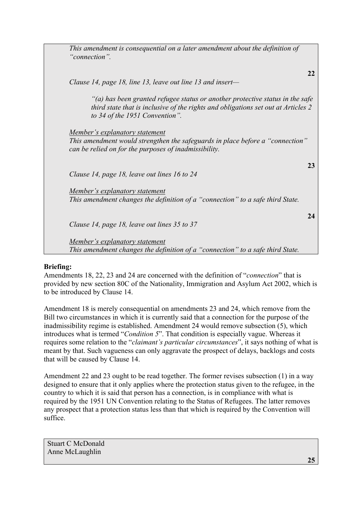| This amendment is consequential on a later amendment about the definition of<br>"connection".                                                                                                        |    |
|------------------------------------------------------------------------------------------------------------------------------------------------------------------------------------------------------|----|
| Clause 14, page 18, line 13, leave out line 13 and insert-                                                                                                                                           | 22 |
| "(a) has been granted refugee status or another protective status in the safe<br>third state that is inclusive of the rights and obligations set out at Articles 2<br>to 34 of the 1951 Convention". |    |
| <u>Member's explanatory statement</u><br>This amendment would strengthen the safeguards in place before a "connection"<br>can be relied on for the purposes of inadmissibility.                      |    |
| Clause 14, page 18, leave out lines 16 to 24                                                                                                                                                         | 23 |
| Member's explanatory statement<br>This amendment changes the definition of a "connection" to a safe third State.                                                                                     |    |
| Clause 14, page 18, leave out lines 35 to 37                                                                                                                                                         | 24 |
| <u>Member's explanatory statement</u><br>This amendment changes the definition of a "connection" to a safe third State.                                                                              |    |

# **Briefing:**

Amendments 18, 22, 23 and 24 are concerned with the definition of "*connection*" that is provided by new section 80C of the Nationality, Immigration and Asylum Act 2002, which is to be introduced by Clause 14.

Amendment 18 is merely consequential on amendments 23 and 24, which remove from the Bill two circumstances in which it is currently said that a connection for the purpose of the inadmissibility regime is established. Amendment 24 would remove subsection (5), which introduces what is termed "*Condition 5*". That condition is especially vague. Whereas it requires some relation to the "*claimant's particular circumstances*", it says nothing of what is meant by that. Such vagueness can only aggravate the prospect of delays, backlogs and costs that will be caused by Clause 14.

Amendment 22 and 23 ought to be read together. The former revises subsection (1) in a way designed to ensure that it only applies where the protection status given to the refugee, in the country to which it is said that person has a connection, is in compliance with what is required by the 1951 UN Convention relating to the Status of Refugees. The latter removes any prospect that a protection status less than that which is required by the Convention will suffice.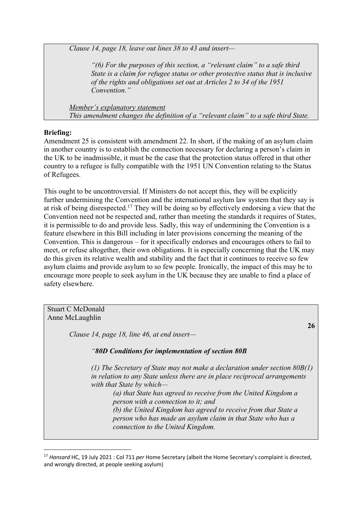*Clause 14, page 18, leave out lines 38 to 43 and insert—*

*"(6) For the purposes of this section, a "relevant claim" to a safe third State is a claim for refugee status or other protective status that is inclusive of the rights and obligations set out at Articles 2 to 34 of the 1951 Convention."* 

*Member's explanatory statement This amendment changes the definition of a "relevant claim" to a safe third State.* 

# **Briefing:**

Amendment 25 is consistent with amendment 22. In short, if the making of an asylum claim in another country is to establish the connection necessary for declaring a person's claim in the UK to be inadmissible, it must be the case that the protection status offered in that other country to a refugee is fully compatible with the 1951 UN Convention relating to the Status of Refugees.

This ought to be uncontroversial. If Ministers do not accept this, they will be explicitly further undermining the Convention and the international asylum law system that they say is at risk of being disrespected.17 They will be doing so by effectively endorsing a view that the Convention need not be respected and, rather than meeting the standards it requires of States, it is permissible to do and provide less. Sadly, this way of undermining the Convention is a feature elsewhere in this Bill including in later provisions concerning the meaning of the Convention. This is dangerous – for it specifically endorses and encourages others to fail to meet, or refuse altogether, their own obligations. It is especially concerning that the UK may do this given its relative wealth and stability and the fact that it continues to receive so few asylum claims and provide asylum to so few people. Ironically, the impact of this may be to encourage more people to seek asylum in the UK because they are unable to find a place of safety elsewhere.

Stuart C McDonald Anne McLaughlin **26** *Clause 14, page 18, line 46, at end insert— "80D Conditions for implementation of section 80B (1) The Secretary of State may not make a declaration under section 80B(1) in relation to any State unless there are in place reciprocal arrangements with that State by which— (a) that State has agreed to receive from the United Kingdom a person with a connection to it; and (b) the United Kingdom has agreed to receive from that State a person who has made an asylum claim in that State who has a connection to the United Kingdom.*

<sup>17</sup> *Hansard* HC, 19 July 2021 : Col 711 *per* Home Secretary (albeit the Home Secretary's complaint is directed, and wrongly directed, at people seeking asylum)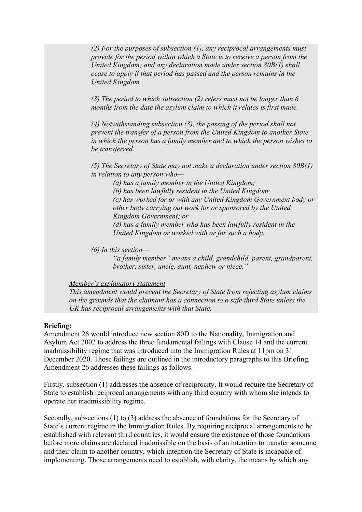*(2) For the purposes of subsection (1), any reciprocal arrangements must provide for the period within which a State is to receive a person from the United Kingdom; and any declaration made under section 80B(1) shall cease to apply if that period has passed and the person remains in the United Kingdom. (3) The period to which subsection (2) refers must not be longer than 6 months from the date the asylum claim to which it relates is first made. (4) Notwithstanding subsection (3), the passing of the period shall not prevent the transfer of a person from the United Kingdom to another State in which the person has a family member and to which the person wishes to be transferred. (5) The Secretary of State may not make a declaration under section 80B(1) in relation to any person who— (a) has a family member in the United Kingdom; (b) has been lawfully resident in the United Kingdom; (c) has worked for or with any United Kingdom Government body or other body carrying out work for or sponsored by the United Kingdom Government; or (d) has a family member who has been lawfully resident in the United Kingdom or worked with or for such a body. (6) In this section— "a family member" means a child, grandchild, parent, grandparent, brother, sister, uncle, aunt, nephew or niece." Member's explanatory statement* 

*This amendment would prevent the Secretary of State from rejecting asylum claims on the grounds that the claimant has a connection to a safe third State unless the UK has reciprocal arrangements with that State.*

# **Briefing:**

Amendment 26 would introduce new section 80D to the Nationality, Immigration and Asylum Act 2002 to address the three fundamental failings with Clause 14 and the current inadmissibility regime that was introduced into the Immigration Rules at 11pm on 31 December 2020. Those failings are outlined in the introductory paragraphs to this Briefing. Amendment 26 addresses these failings as follows.

Firstly, subsection (1) addresses the absence of reciprocity. It would require the Secretary of State to establish reciprocal arrangements with any third country with whom she intends to operate her inadmissibility regime.

Secondly, subsections (1) to (3) address the absence of foundations for the Secretary of State's current regime in the Immigration Rules. By requiring reciprocal arrangements to be established with relevant third countries, it would ensure the existence of those foundations before more claims are declared inadmissible on the basis of an intention to transfer someone and their claim to another country, which intention the Secretary of State is incapable of implementing. Those arrangements need to establish, with clarity, the means by which any